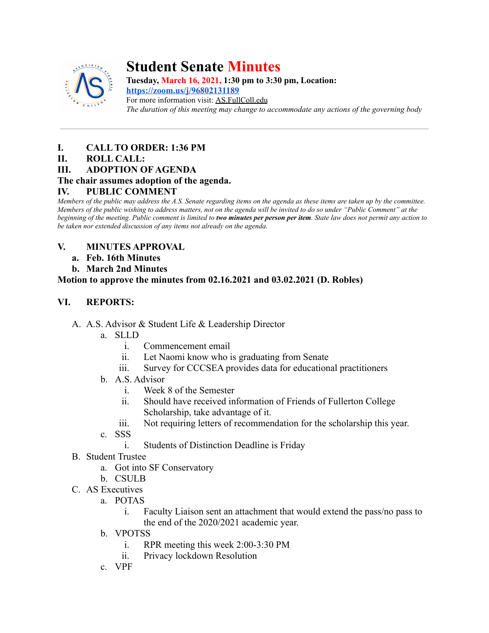

# **Student Senate Minutes**

**Tuesday, March 16, 2021, 1:30 pm to 3:30 pm, Location:**

**<https://zoom.us/j/96802131189>** For more information visit: AS.FullColl.edu *The duration of this meeting may change to accommodate any actions of the governing body*

### **I. CALL TO ORDER: 1:36 PM**

### **II. ROLL CALL:**

**III. ADOPTION OF AGENDA**

### **The chair assumes adoption of the agenda.**

### **IV. PUBLIC COMMENT**

*Members of the public may address the A.S. Senate regarding items on the agenda as these items are taken up by the committee. Members of the public wishing to address matters, not on the agenda will be invited to do so under "Public Comment" at the beginning of the meeting. Public comment is limited to two minutes per person per item. State law does not permit any action to be taken nor extended discussion of any items not already on the agenda.*

### **V. MINUTES APPROVAL**

- **a. Feb. 16th Minutes**
- **b. March 2nd Minutes**

### **Motion to approve the minutes from 02.16.2021 and 03.02.2021 (D. Robles)**

### **VI. REPORTS:**

- A. A.S. Advisor & Student Life & Leadership Director
	- a. SLLD
		- i. Commencement email
		- ii. Let Naomi know who is graduating from Senate
		- iii. Survey for CCCSEA provides data for educational practitioners
	- b. A.S. Advisor
		- i. Week 8 of the Semester
		- ii. Should have received information of Friends of Fullerton College Scholarship, take advantage of it.
		- iii. Not requiring letters of recommendation for the scholarship this year.
	- c. SSS
		- i. Students of Distinction Deadline is Friday
- B. Student Trustee
	- a. Got into SF Conservatory
	- b. CSULB
- C. AS Executives
	- a. POTAS
		- i. Faculty Liaison sent an attachment that would extend the pass/no pass to the end of the 2020/2021 academic year.
	- b. VPOTSS
		- i. RPR meeting this week 2:00-3:30 PM
		- ii. Privacy lockdown Resolution
	- c. VPF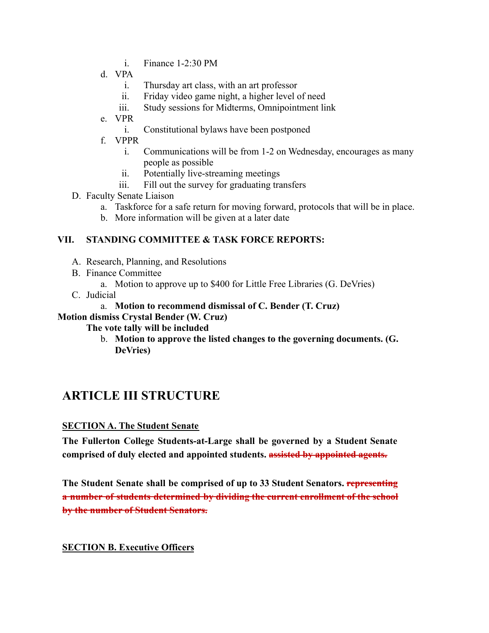- i. Finance 1-2:30 PM
- d. VPA
	- i. Thursday art class, with an art professor
	- ii. Friday video game night, a higher level of need
	- iii. Study sessions for Midterms, Omnipointment link
- e. VPR
	- i. Constitutional bylaws have been postponed
- f. VPPR
	- i. Communications will be from 1-2 on Wednesday, encourages as many people as possible
	- ii. Potentially live-streaming meetings
	- iii. Fill out the survey for graduating transfers
- D. Faculty Senate Liaison
	- a. Taskforce for a safe return for moving forward, protocols that will be in place.
	- b. More information will be given at a later date

### **VII. STANDING COMMITTEE & TASK FORCE REPORTS:**

- A. Research, Planning, and Resolutions
- B. Finance Committee
	- a. Motion to approve up to \$400 for Little Free Libraries (G. DeVries)
- C. Judicial

### a. **Motion to recommend dismissal of C. Bender (T. Cruz)**

#### **Motion dismiss Crystal Bender (W. Cruz)**

### **The vote tally will be included**

b. **Motion to approve the listed changes to the governing documents. (G. DeVries)**

## **ARTICLE III STRUCTURE**

### **SECTION A. The Student Senate**

**The Fullerton College Students-at-Large shall be governed by a Student Senate comprised of duly elected and appointed students. assisted by appointed agents.**

**The Student Senate shall be comprised of up to 33 Student Senators. representing a number of students determined by dividing the current enrollment of the school by the number of Student Senators.**

### **SECTION B. Executive Officers**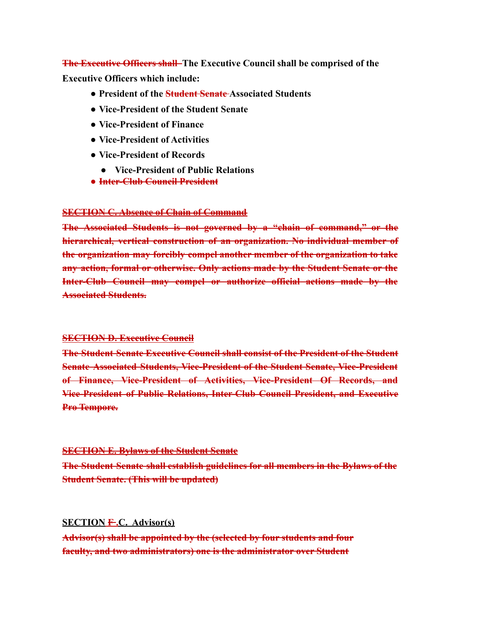**The Executive Officers shall The Executive Council shall be comprised of the Executive Officers which include:**

- **● President of the Student Senate Associated Students**
- **● Vice-President of the Student Senate**
- **● Vice-President of Finance**
- **● Vice-President of Activities**
- **● Vice-President of Records**
	- **● Vice-President of Public Relations**
- **● Inter-Club Council President**

#### **SECTION C. Absence of Chain of Command**

**The Associated Students is not governed by a "chain of command," or the hierarchical, vertical construction of an organization. No individual member of the organization may forcibly compel another member of the organization to take any action, formal or otherwise. Only actions made by the Student Senate or the Inter-Club Council may compel or authorize official actions made by the Associated Students.**

#### **SECTION D. Executive Council**

**The Student Senate Executive Council shall consist of the President of the Student Senate Associated Students, Vice-President of the Student Senate, Vice-President of Finance, Vice-President of Activities, Vice-President Of Records, and Vice-President of Public Relations, Inter-Club Council President, and Executive Pro Tempore.**

#### **SECTION E. Bylaws of the Student Senate**

**The Student Senate shall establish guidelines for all members in the Bylaws of the Student Senate. (This will be updated)**

#### **SECTION F .C. Advisor(s)**

**Advisor(s) shall be appointed by the (selected by four students and four faculty, and two administrators) one is the administrator over Student**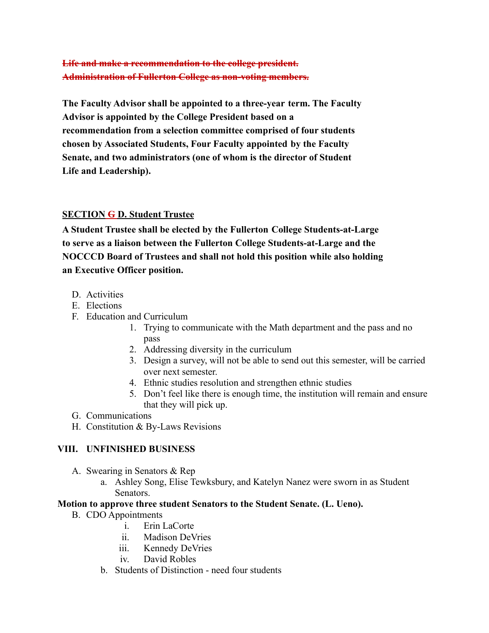### **Life and make a recommendation to the college president. Administration of Fullerton College as non-voting members.**

**The Faculty Advisor shall be appointed to a three-year term. The Faculty Advisor is appointed by the College President based on a recommendation from a selection committee comprised of four students chosen by Associated Students, Four Faculty appointed by the Faculty Senate, and two administrators (one of whom is the director of Student Life and Leadership).**

### **SECTION G D. Student Trustee**

**A Student Trustee shall be elected by the Fullerton College Students-at-Large to serve as a liaison between the Fullerton College Students-at-Large and the NOCCCD Board of Trustees and shall not hold this position while also holding an Executive Officer position.**

- D. Activities
- E. Elections
- F. Education and Curriculum
	- 1. Trying to communicate with the Math department and the pass and no pass
	- 2. Addressing diversity in the curriculum
	- 3. Design a survey, will not be able to send out this semester, will be carried over next semester.
	- 4. Ethnic studies resolution and strengthen ethnic studies
	- 5. Don't feel like there is enough time, the institution will remain and ensure that they will pick up.
- G. Communications
- H. Constitution & By-Laws Revisions

### **VIII. UNFINISHED BUSINESS**

- A. Swearing in Senators & Rep
	- a. Ashley Song, Elise Tewksbury, and Katelyn Nanez were sworn in as Student Senators.

#### **Motion to approve three student Senators to the Student Senate. (L. Ueno).**

- B. CDO Appointments
	- i. Erin LaCorte
	- ii. Madison DeVries
	- iii. Kennedy DeVries
	- iv. David Robles
	- b. Students of Distinction need four students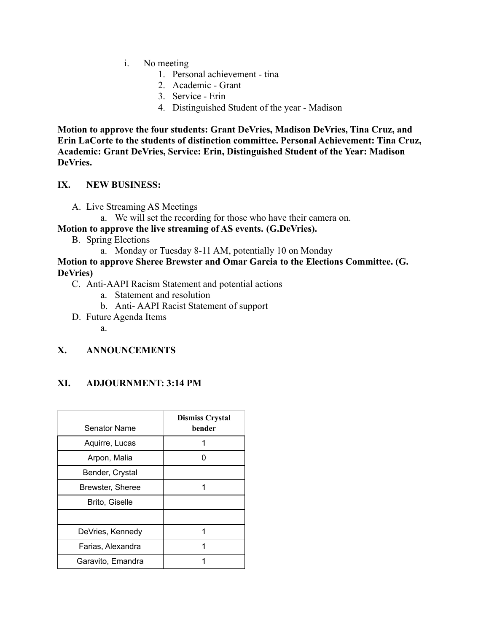- i. No meeting
	- 1. Personal achievement tina
	- 2. Academic Grant
	- 3. Service Erin
	- 4. Distinguished Student of the year Madison

**Motion to approve the four students: Grant DeVries, Madison DeVries, Tina Cruz, and Erin LaCorte to the students of distinction committee. Personal Achievement: Tina Cruz, Academic: Grant DeVries, Service: Erin, Distinguished Student of the Year: Madison DeVries.**

#### **IX. NEW BUSINESS:**

- A. Live Streaming AS Meetings
	- a. We will set the recording for those who have their camera on.

### **Motion to approve the live streaming of AS events. (G.DeVries).**

- B. Spring Elections
	- a. Monday or Tuesday 8-11 AM, potentially 10 on Monday

#### **Motion to approve Sheree Brewster and Omar Garcia to the Elections Committee. (G. DeVries)**

- C. Anti-AAPI Racism Statement and potential actions
	- a. Statement and resolution
	- b. Anti- AAPI Racist Statement of support
- D. Future Agenda Items
	- a.

### **X. ANNOUNCEMENTS**

### **XI. ADJOURNMENT: 3:14 PM**

| <b>Senator Name</b>   | <b>Dismiss Crystal</b><br>bender |
|-----------------------|----------------------------------|
| Aquirre, Lucas        |                                  |
| Arpon, Malia          |                                  |
| Bender, Crystal       |                                  |
| Brewster, Sheree      |                                  |
| <b>Brito, Giselle</b> |                                  |
|                       |                                  |
| DeVries, Kennedy      |                                  |
| Farias, Alexandra     |                                  |
| Garavito, Emandra     |                                  |